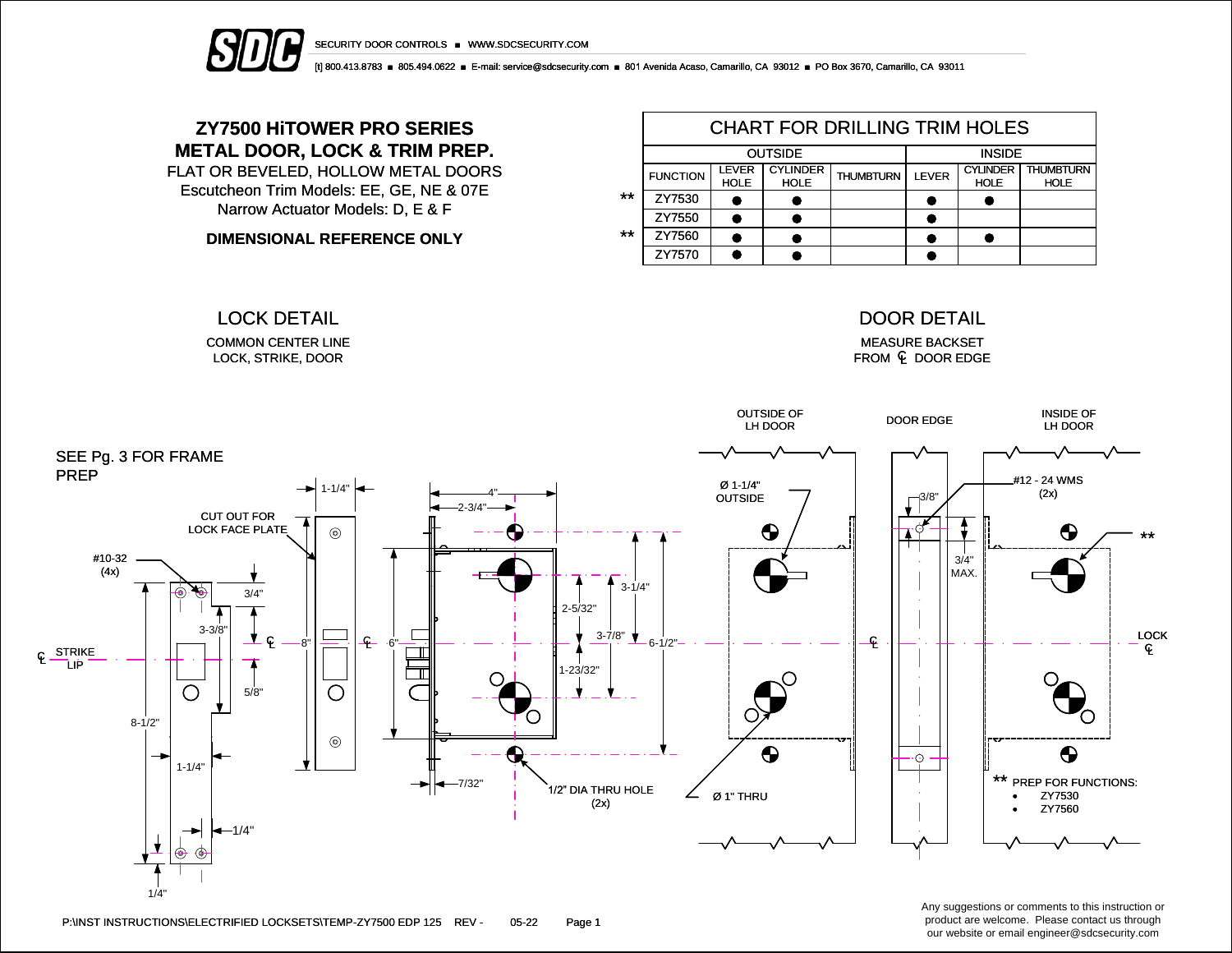

SECURITY DOOR CONTROLS ■ WWW.SDCSECURITY.COM

[t] 800.413.8783 ■ 805.494.0622 ■ E-mail: service@sdcsecurity.com ■ 801 Avenida Acaso, Camarillo, CA 93012 ■ PO Box 3670, Camarillo, CA 93011

## **ZY7500 HiTOWER PRO SERIES METAL DOOR, LOCK & TRIM PREP.**

FLAT OR BEVELED, HOLLOW METAL DOORS Escutcheon Trim Models: EE, GE, NE & 07E Narrow Actuator Models: D, E & F

**DIMENSIONAL REFERENCE ONLY**

|       | <b>CHART FOR DRILLING TRIM HOLES</b> |                             |                                |                  |              |                                |                                 |  |  |  |  |
|-------|--------------------------------------|-----------------------------|--------------------------------|------------------|--------------|--------------------------------|---------------------------------|--|--|--|--|
|       |                                      | <b>OUTSIDE</b>              | <b>INSIDE</b>                  |                  |              |                                |                                 |  |  |  |  |
|       | <b>FUNCTION</b>                      | <b>LEVER</b><br><b>HOLE</b> | <b>CYLINDER</b><br><b>HOLE</b> | <b>THUMBTURN</b> | <b>LEVER</b> | <b>CYLINDER</b><br><b>HOLE</b> | <b>THUMBTURN</b><br><b>HOLE</b> |  |  |  |  |
| $***$ | ZY7530                               |                             |                                |                  |              |                                |                                 |  |  |  |  |
|       | ZY7550                               |                             |                                |                  |              |                                |                                 |  |  |  |  |
| $***$ | ZY7560                               |                             |                                |                  |              |                                |                                 |  |  |  |  |
|       | ZY7570                               |                             |                                |                  |              |                                |                                 |  |  |  |  |

COMMON CENTER LINE LOCK, STRIKE, DOOR

#### LOCK DETAIL DOOR DETAIL

MEASURE BACKSET FROM  $\mathsf E$  door edge



P:\INST INSTRUCTIONS\ELECTRIFIED LOCKSETS\TEMP-ZY7500 EDP 125 REV - 05-22 Page 1

Any suggestions or comments to this instruction or product are welcome. Please contact us through our website or email engineer@sdcsecurity.com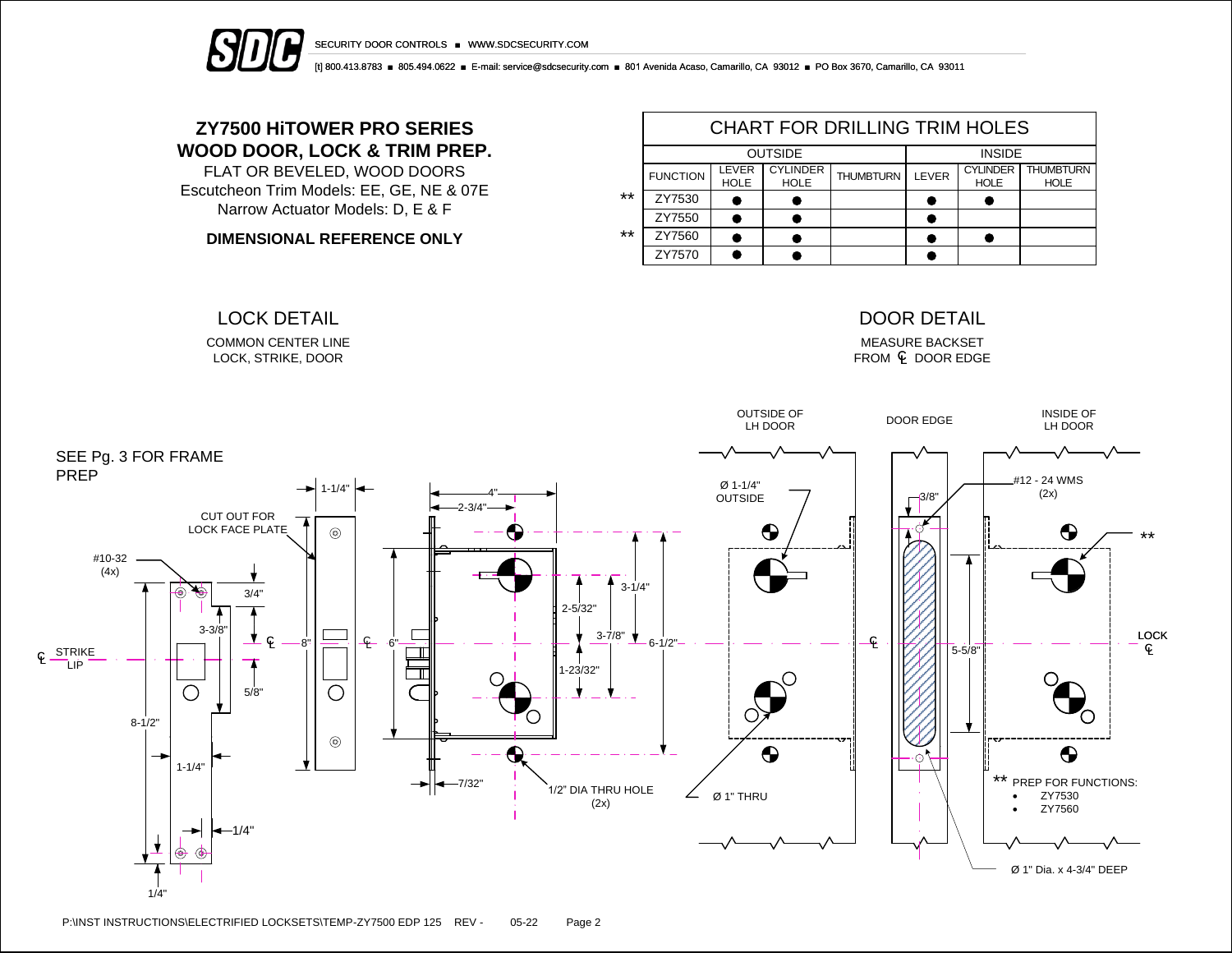



[t] 800.413.8783 ■ 805.494.0622 ■ E-mail: service@sdcsecurity.com ■ 801 Avenida Acaso, Camarillo, CA 93012 ■ PO Box 3670, Camarillo, CA 93011

## **ZY7500 HiTOWER PRO SERIES WOOD DOOR, LOCK & TRIM PREP.**

FLAT OR BEVELED, WOOD DOORS Escutcheon Trim Models: EE, GE, NE & 07E Narrow Actuator Models: D, E & F

**DIMENSIONAL REFERENCE ONLY**

COMMON CENTER LINE LOCK, STRIKE, DOOR

|       | CHART FOR DRILLING TRIM HOLES |                      |                                |                  |       |                                |                                 |  |  |  |  |
|-------|-------------------------------|----------------------|--------------------------------|------------------|-------|--------------------------------|---------------------------------|--|--|--|--|
|       |                               | <b>OUTSIDE</b>       | <b>INSIDE</b>                  |                  |       |                                |                                 |  |  |  |  |
|       | <b>FUNCTION</b>               | LEVER<br><b>HOLE</b> | <b>CYLINDER</b><br><b>HOLE</b> | <b>THUMBTURN</b> | LEVER | <b>CYLINDER</b><br><b>HOLE</b> | <b>THUMBTURN</b><br><b>HOLE</b> |  |  |  |  |
| $***$ | ZY7530                        |                      |                                |                  |       |                                |                                 |  |  |  |  |
|       | ZY7550                        |                      |                                |                  |       |                                |                                 |  |  |  |  |
| $***$ | ZY7560                        |                      |                                |                  |       |                                |                                 |  |  |  |  |
|       | ZY7570                        |                      |                                |                  |       |                                |                                 |  |  |  |  |

### LOCK DETAIL DOOR DETAIL

MEASURE BACKSET  $FROM \subseteq DOOR EDGE$ 



P:\INST INSTRUCTIONS\ELECTRIFIED LOCKSETS\TEMP-ZY7500 EDP 125 REV - 05-22 Page 2